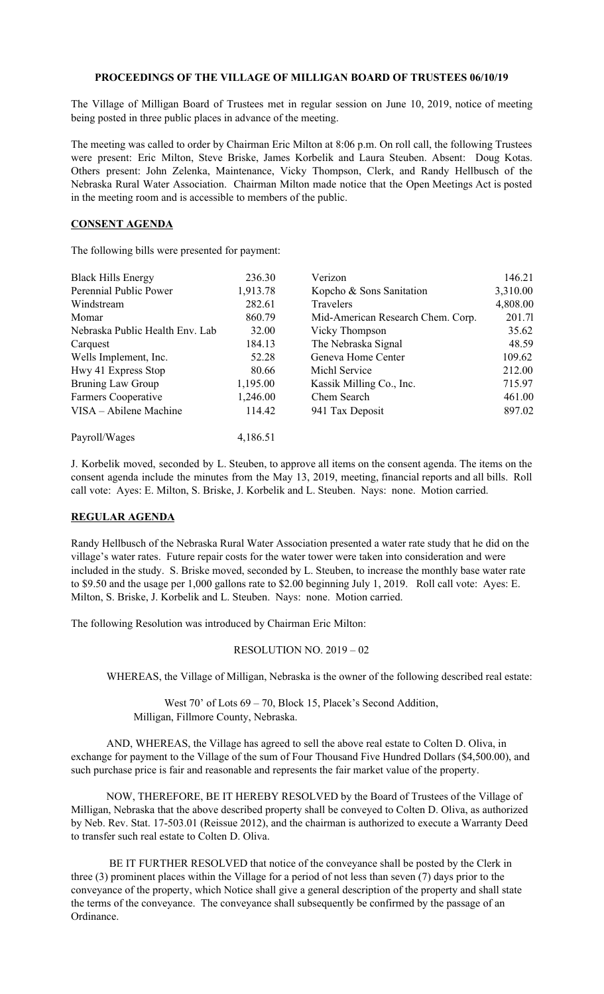## **PROCEEDINGS OF THE VILLAGE OF MILLIGAN BOARD OF TRUSTEES 06/10/19**

The Village of Milligan Board of Trustees met in regular session on June 10, 2019, notice of meeting being posted in three public places in advance of the meeting.

The meeting was called to order by Chairman Eric Milton at 8:06 p.m. On roll call, the following Trustees were present: Eric Milton, Steve Briske, James Korbelik and Laura Steuben. Absent: Doug Kotas. Others present: John Zelenka, Maintenance, Vicky Thompson, Clerk, and Randy Hellbusch of the Nebraska Rural Water Association. Chairman Milton made notice that the Open Meetings Act is posted in the meeting room and is accessible to members of the public.

## **CONSENT AGENDA**

The following bills were presented for payment:

| <b>Black Hills Energy</b>       | 236.30   | Verizon                           | 146.21   |
|---------------------------------|----------|-----------------------------------|----------|
| Perennial Public Power          | 1,913.78 | Kopcho & Sons Sanitation          | 3,310.00 |
| Windstream                      | 282.61   | Travelers                         | 4,808.00 |
| Momar                           | 860.79   | Mid-American Research Chem. Corp. | 201.71   |
| Nebraska Public Health Env. Lab | 32.00    | Vicky Thompson                    | 35.62    |
| Carquest                        | 184.13   | The Nebraska Signal               | 48.59    |
| Wells Implement, Inc.           | 52.28    | Geneva Home Center                | 109.62   |
| Hwy 41 Express Stop             | 80.66    | Michl Service                     | 212.00   |
| Bruning Law Group               | 1,195.00 | Kassik Milling Co., Inc.          | 715.97   |
| <b>Farmers Cooperative</b>      | 1,246.00 | Chem Search                       | 461.00   |
| VISA – Abilene Machine          | 114.42   | 941 Tax Deposit                   | 897.02   |
| Payroll/Wages                   | 4,186.51 |                                   |          |

J. Korbelik moved, seconded by L. Steuben, to approve all items on the consent agenda. The items on the consent agenda include the minutes from the May 13, 2019, meeting, financial reports and all bills. Roll call vote: Ayes: E. Milton, S. Briske, J. Korbelik and L. Steuben. Nays: none. Motion carried.

## **REGULAR AGENDA**

Randy Hellbusch of the Nebraska Rural Water Association presented a water rate study that he did on the village's water rates. Future repair costs for the water tower were taken into consideration and were included in the study. S. Briske moved, seconded by L. Steuben, to increase the monthly base water rate to \$9.50 and the usage per 1,000 gallons rate to \$2.00 beginning July 1, 2019. Roll call vote: Ayes: E. Milton, S. Briske, J. Korbelik and L. Steuben. Nays: none. Motion carried.

The following Resolution was introduced by Chairman Eric Milton:

## RESOLUTION NO. 2019 – 02

WHEREAS, the Village of Milligan, Nebraska is the owner of the following described real estate:

West 70' of Lots 69 – 70, Block 15, Placek's Second Addition, Milligan, Fillmore County, Nebraska.

AND, WHEREAS, the Village has agreed to sell the above real estate to Colten D. Oliva, in exchange for payment to the Village of the sum of Four Thousand Five Hundred Dollars (\$4,500.00), and such purchase price is fair and reasonable and represents the fair market value of the property.

NOW, THEREFORE, BE IT HEREBY RESOLVED by the Board of Trustees of the Village of Milligan, Nebraska that the above described property shall be conveyed to Colten D. Oliva, as authorized by Neb. Rev. Stat. 17-503.01 (Reissue 2012), and the chairman is authorized to execute a Warranty Deed to transfer such real estate to Colten D. Oliva.

BE IT FURTHER RESOLVED that notice of the conveyance shall be posted by the Clerk in three (3) prominent places within the Village for a period of not less than seven (7) days prior to the conveyance of the property, which Notice shall give a general description of the property and shall state the terms of the conveyance. The conveyance shall subsequently be confirmed by the passage of an Ordinance.